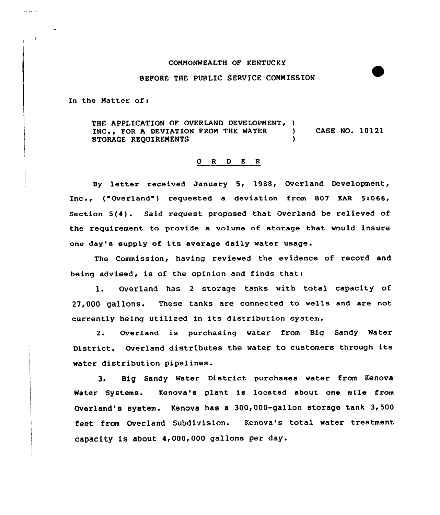## COMMONWEALTH OP KENTUCKY

## BEPORE THE PUBLIC SERVICE COMMISSION

In the Matter of:

THE APPLICATION OF OVERLAND DEVELOPMENT, )<br>INC., FOR A DEVIATION FROM THE WATER INC., FOR A DEVIATION FROM THE WATER )<br>STORAGE REQUIREMENTS STORAGE REQUIREMENTS CASE NO. 10121

## O R D E R

By letter received January 5< 1988, Overland Development, Inc., ("Overland") requested a deviation from 807 KAR 5:066, Section 5(4). Said request proposed that Overland be relieved of the requirement to provide a volume of storage that would insure one day's supply of its average daily water usage.

The Commission, having reviewed the evidence of record and being advised< is of the opinion and finds that:

l. Overland has <sup>2</sup> storage tanks with total capacity of 27,000 gallons. These tanks are connected to wells and are not currently being utilized in its distribution system.

2. Overland is purchasing water from Big Sandy Mater District. Overland distributes the water to customers through its water distribution pipelines.

3. Big sandy Mater District purchases water from Kenova Mater Systems. Kenova's plant is located about one mile Crom Overland's system. Kenova has a 300,000-gallon storage tank 3,500 feet from Overland Subdivision. Kenova's total water treatment capacity is about 4,000,000 gallons per day.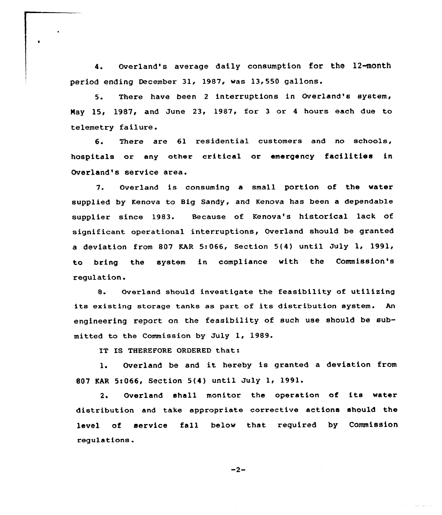4. Overland's average daily consumption for the 12-month period ending December 31, 1987, was 13,550 gallons.

5. There have been <sup>2</sup> interruptions in Overland's system, May 15, 1987, and June 23, 1987, for 3 or 4 hours each due to telemetry failure.

6. There are 61 residential customers and no schools, hospitals or any other critical or emergency facilities in Overland's service area.

7. Overland is consuming a small portion of the water supplied by Kenova to Big Sandy, and Kenova has been a dependable supplier since 1983. Because of Kenova's historical lack of significant operational interruptions, Overland should be granted a deviation from 807 KAR 5:066, Section 5{4) until July 1, 1991, to bring the system in compliance with the Commission's regulation.

8. Overland should investigate the feasibility of utilizing its existing storage tanks as part of its distribution system. An engineering report on the feasibility of such use should be submitted to the Commission by July 1, 1989.

IT IS THEREFORE ORDERED that:

l. Overland be and it hereby is granted <sup>a</sup> deviation from 807 KAR 5s066, Section 5(4) until July 1, 1991.

2. Overland shall monitor the operation of its water distribution and take appropriate corrective actions should the level of service fall below that required by Commission regulations .

 $-2-$